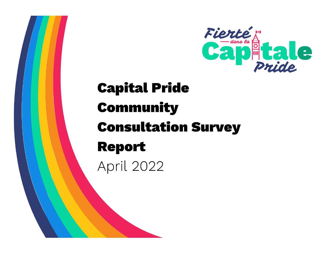

# **Capital Pride Community Consultation Survey Report April 2022**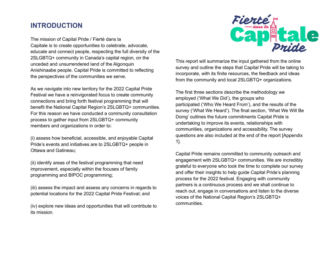# **INTRODUCTION**

The mission of Capital Pride / Fierté dans la Capitale is to create opportunities to celebrate, advocate, educate and connect people, respecting the full diversity of the 2SLGBTQ+ community in Canada's capital region, on the unceded and unsurrendered land of the Algonquin Anishinaabe people. Capital Pride is committed to reflecting the perspectives of the communities we serve.

As we navigate into new territory for the 2022 Capital Pride Festival we have a reinvigorated focus to create community connections and bring forth festival programming that will benefit the National Capital Region's 2SLGBTQ+ communities. For this reason we have conducted a community consultation process to gather input from 2SLGBTQ+ community members and organizations in order to:

(i) assess how beneficial, accessible, and enjoyable Capital Pride's events and initiatives are to 2SLGBTQ+ people in Ottawa and Gatineau;

(ii) identify areas of the festival programming that need improvement, especially within the focuses of family programming and BIPOC programming;

(iii) assess the impact and assess any concerns in regards to potential locations for the 2022 Capital Pride Festival; and

(iv) explore new ideas and opportunities that will contribute to its mission.



This report will summarize the input gathered from the online survey and outline the steps that Capital Pride will be taking to incorporate, with its finite resources, the feedback and ideas from the community and local 2SLGBTQ+ organizations.

The first three sections describe the methodology we employed ('What We Did'), the groups who participated ('Who We Heard From'), and the results of the survey ('What We Heard'). The final section, 'What We Will Be Doing' outlines the future commitments Capital Pride is undertaking to improve its events, relationships with communities, organizations and accessibility. The survey questions are also included at the end of the report [Appendix 1].

Capital Pride remains committed to community outreach and engagement with 2SLGBTQ+ communities. We are incredibly grateful to everyone who took the time to complete our survey and offer their insights to help guide Capital Pride's planning process for the 2022 festival. Engaging with community partners is a continuous process and we shall continue to reach out, engage in conversations and listen to the diverse voices of the National Capital Region's 2SLGBTQ+ communities.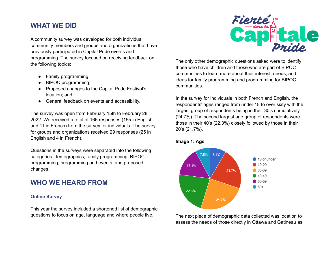# **WHAT WE DID**

A community survey was developed for both individual community members and groups and organizations that have previously participated in Capital Pride events and programming. The survey focused on receiving feedback on the following topics:

- Family programming;
- **BIPOC programming;**
- Proposed changes to the Capital Pride Festival's location; and
- General feedback on events and accessibility.

The survey was open from February 15th to February 28, 2022. We received a total of 166 responses (155 in English and 11 in French) from the survey for individuals. The survey for groups and organizations received 29 responses (25 in English and 4 in French).

Questions in the surveys were separated into the following categories: demographics, family programming, BIPOC programming, programming and events, and proposed changes.

# **WHO WE HEARD FROM**

### **Online Survey**

This year the survey included a shortened list of demographic questions to focus on age, language and where people live.



The only other demographic questions asked were to identify those who have children and those who are part of BIPOC communities to learn more about their interest, needs, and ideas for family programming and programming for BIPOC communities.

In the survey for individuals in both French and English, the respondents' ages ranged from under 18 to over sixty with the largest group of respondents being in their 30's cumulatively (24.7%). The second largest age group of respondents were those in their 40's (22.3%) closely followed by those in their 20's (21.7%).





The next piece of demographic data collected was location to assess the needs of those directly in Ottawa and Gatineau as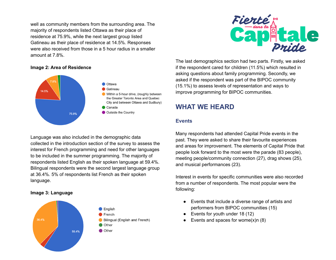well as community members from the surrounding area. The majority of respondents listed Ottawa as their place of residence at 75.9%, while the next largest group listed Gatineau as their place of residence at 14.5%. Responses were also received from those in a 5 hour radius in a smaller amount at 7.8%.

### **Image 2: Area of Residence**



Language was also included in the demographic data collected in the introduction section of the survey to assess the interest for French programming and need for other languages to be included in the summer programming. The majority of respondents listed English as their spoken language at 59.4%. Bilingual respondents were the second largest language group at 36.4%. 5% of respondents list French as their spoken language.

### **Image 3: Language**





The last demographics section had two parts. Firstly, we asked if the respondent cared for children (11.5%) which resulted in asking questions about family programming. Secondly, we asked if the respondent was part of the BIPOC community (15.1%) to assess levels of representation and ways to improve programming for BIPOC communities.

# **WHAT WE HEARD**

### **Events**

Many respondents had attended Capital Pride events in the past. They were asked to share their favourite experiences and areas for improvement. The elements of Capital Pride that people look forward to the most were the parade (83 people), meeting people/community connection (27), drag shows (25), and musical performances (23).

Interest in events for specific communities were also recorded from a number of respondents. The most popular were the following:

- Events that include a diverse range of artists and performers from BIPOC communities (15)
- Events for youth under 18 (12)
- Events and spaces for wome $(x)$ n (8)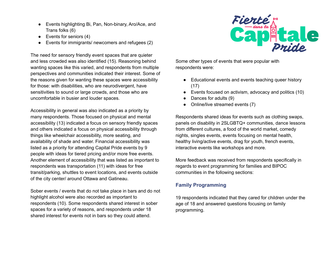- Events highlighting Bi, Pan, Non-binary, Aro/Ace, and Trans folks (6)
- $\bullet$  Events for seniors (4)
- Events for immigrants/ newcomers and refugees (2)

The need for sensory friendly event spaces that are quieter and less crowded was also identified (15). Reasoning behind wanting spaces like this varied, and respondents from multiple perspectives and communities indicated their interest. Some of the reasons given for wanting these spaces were accessibility for those: with disabilities, who are neurodivergent, have sensitivities to sound or large crowds, and those who are uncomfortable in busier and louder spaces.

Accessibility in general was also indicated as a priority by many respondents. Those focused on physical and mental accessibility (13) indicated a focus on sensory friendly spaces and others indicated a focus on physical accessibility through things like wheelchair accessibility, more seating, and availability of shade and water. Financial accessibility was listed as a priority for attending Capital Pride events by 9 people with ideas for tiered pricing and/or more free events. Another element of accessibility that was listed as important to respondents was transportation (11) with ideas for free transit/parking, shuttles to event locations, and events outside of the city center/ around Ottawa and Gatineau.

Sober events / events that do not take place in bars and do not highlight alcohol were also recorded as important to respondents (10). Some respondents shared interest in sober spaces for a variety of reasons, and respondents under 18 shared interest for events not in bars so they could attend.



Some other types of events that were popular with respondents were:

- Educational events and events teaching queer history (17)
- Events focused on activism, advocacy and politics (10)
- Dances for adults (9)
- Online/live streamed events (7)

Respondents shared ideas for events such as clothing swaps, panels on disability in 2SLGBTQ+ communities, dance lessons from different cultures, a food of the world market, comedy nights, singles events, events focusing on mental health, healthy living/active events, drag for youth, french events, interactive events like workshops and more.

More feedback was received from respondents specifically in regards to event programming for families and BIPOC communities in the following sections:

### **Family Programming**

19 respondents indicated that they cared for children under the age of 18 and answered questions focusing on family programming.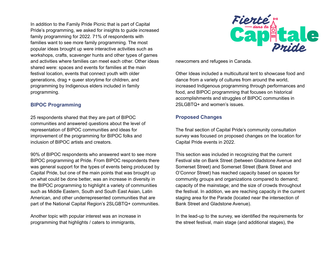In addition to the Family Pride Picnic that is part of Capital Pride's programming, we asked for insights to guide increased family programming for 2022. 71% of respondents with families want to see more family programming. The most popular ideas brought up were interactive activities such as workshops, crafts, scavenger hunts and other types of games and activities where families can meet each other. Other ideas shared were: spaces and events for families at the main festival location, events that connect youth with older generations, drag + queer storytime for children, and programming by Indigenous elders included in family programming.

### **BIPOC Programming**

25 respondents shared that they are part of BIPOC communities and answered questions about the level of representation of BIPOC communities and ideas for improvement of the programming for BIPOC folks and inclusion of BIPOC artists and creators.

90% of BIPOC respondents who answered want to see more BIPOC programming at Pride. From BIPOC respondents there was general support for the types of events being produced by Capital Pride, but one of the main points that was brought up on what could be done better, was an increase in diversity in the BIPOC programming to highlight a variety of communities such as Middle Eastern, South and South East Asian, Latin American, and other underrepresented communities that are part of the National Capital Region's 2SLGBTQ+ communities.

Another topic with popular interest was an increase in programming that highlights / caters to immigrants,



newcomers and refugees in Canada.

Other Ideas included a multicultural tent to showcase food and dance from a variety of cultures from around the world, increased Indigenous programming through performances and food, and BIPOC programming that focuses on historical accomplishments and struggles of BIPOC communities in 2SLGBTQ+ and women's issues.

### **Proposed Changes**

The final section of Capital Pride's community consultation survey was focused on proposed changes on the location for Capital Pride events in 2022.

This section was included in recognizing that the current Festival site on Bank Street (between Gladstone Avenue and Somerset Street) and Somerset Street (Bank Street and O'Connor Street) has reached capacity based on spaces for community groups and organizations compared to demand; capacity of the mainstage; and the size of crowds throughout the festival. In addition, we are reaching capacity in the current staging area for the Parade (located near the intersection of Bank Street and Gladstone Avenue).

In the lead-up to the survey, we identified the requirements for the street festival, main stage (and additional stages), the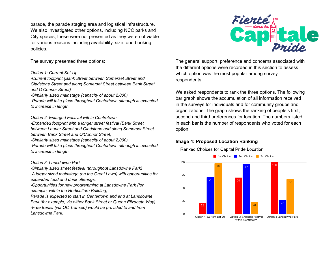parade, the parade staging area and logistical infrastructure. We also investigated other options, including NCC parks and City spaces, these were not presented as they were not viable for various reasons including availability, size, and booking policies.

The survey presented three options:

#### *Option 1: Current Set-Up*

*-Current footprint (Bank Street between Somerset Street and Gladstone Street and along Somerset Street between Bank Street and O'Connor Street)*

*-Similarly sized mainstage (capacity of about 2,000)*

*-Parade will take place throughout Centertown although is expected to increase in length.*

*Option 2: Enlarged Festival within Centretown*

*-Expanded footprint with a longer street festival (Bank Street between Laurier Street and Gladstone and along Somerset Street between Bank Street and O'Connor Street)*

*-Similarly sized mainstage (capacity of about 2,000)*

*-Parade will take place throughout Centertown although is expected to increase in length.*

### *Option 3: Lansdowne Park*

*-Similarly sized street festival (throughout Lansdowne Park)*

*-A larger sized mainstage (on the Great Lawn) with opportunities for expanded food and drink offerings.*

*-Opportunities for new programming at Lansdowne Park (for example, within the Horticulture Building).*

*Parade is expected to start in Centertown and end at Lansdowne Park (for example, via either Bank Street or Queen Elizabeth Way). -Free transit (via OC Transpo) would be provided to and from Lansdowne Park.*



The general support, preference and concerns associated with the different options were recorded in this section to assess which option was the most popular among survey respondents.

We asked respondents to rank the three options. The following bar graph shows the accumulation of all information received in the surveys for individuals and for community groups and organizations. The graph shows the ranking of people's first, second and third preferences for location. The numbers listed in each bar is the number of respondents who voted for each option.

### **Image 4: Proposed Location Ranking**

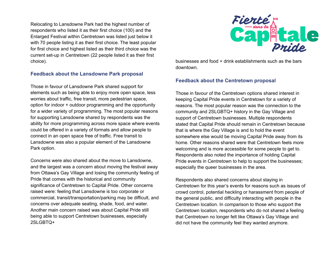Relocating to Lansdowne Park had the highest number of respondents who listed it as their first choice (100) and the Enlarged Festival within Centretown was listed just below it with 70 people listing it as their first choice. The least popular for first choice and highest listed as their third choice was the current set-up in Centretown (22 people listed it as their first choice).

### **Feedback about the Lansdowne Park proposal**

Those in favour of Lansdowne Park shared support for elements such as being able to enjoy more open space, less worries about traffic, free transit, more pedestrian space, option for indoor + outdoor programming and the opportunity for a wider variety of programming. The most popular reasons for supporting Lansdowne shared by respondents was the ability for more programming across more space where events could be offered in a variety of formats and allow people to connect in an open space free of traffic. Free transit to Lansdowne was also a popular element of the Lansdowne Park option.

Concerns were also shared about the move to Lansdowne, and the largest was a concern about moving the festival away from Ottawa's Gay Village and losing the community feeling of Pride that comes with the historical and community significance of Centretown to Capital Pride. Other concerns raised were: feeling that Lansdowne is too corporate or commercial, transit/transportation/parking may be difficult, and concerns over adequate seating, shade, food, and water. Another main concern raised was about Capital Pride still being able to support Centretown businesses, especially 2SLGBTQ+



businesses and food + drink establishments such as the bars downtown.

### **Feedback about the Centretown proposal**

Those in favour of the Centretown options shared interest in keeping Capital Pride events in Centretown for a variety of reasons. The most popular reason was the connection to the community and 2SLGBTQ+ history in the Gay Village and support of Centretown businesses. Multiple respondents stated that Capital Pride should remain in Centretown because that is where the Gay Village is and to hold the event somewhere else would be moving Capital Pride away from its home. Other reasons shared were that Centretown feels more welcoming and is more accessible for some people to get to. Respondents also noted the importance of holding Capital Pride events in Centretown to help to support the businesses; especially the queer businesses in the area.

Respondents also shared concerns about staying in Centretown for this year's events for reasons such as issues of crowd control, potential heckling or harassment from people of the general public, and difficulty interacting with people in the Centretown location. In comparison to those who support the Centretown location, respondents who do not shared a feeling that Centretown no longer felt like Ottawa's Gay Village and did not have the community feel they wanted anymore.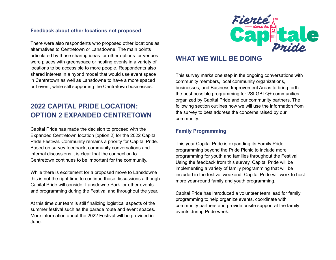### **Feedback about other locations not proposed**

There were also respondents who proposed other locations as alternatives to Centretown or Lansdowne. The main points articulated by those sharing ideas for other options for venues were places with greenspace or hosting events in a variety of locations to be accessible to more people. Respondents also shared interest in a hybrid model that would use event space in Centretown as well as Lansdowne to have a more spaced out event, while still supporting the Centretown businesses.

# **2022 CAPITAL PRIDE LOCATION: OPTION 2 EXPANDED CENTRETOWN**

Capital Pride has made the decision to proceed with the Expanded Centretown location [option 2] for the 2022 Capital Pride Festival. Community remains a priority for Capital Pride. Based on survey feedback, community conversations and internal discussions it is clear that the connection to Centretown continues to be important for the community.

While there is excitement for a proposed move to Lansdowne this is not the right time to continue those discussions although Capital Pride will consider Lansdowne Park for other events and programming during the Festival and throughout the year.

At this time our team is still finalizing logistical aspects of the summer festival such as the parade route and event spaces. More information about the 2022 Festival will be provided in June.



# **WHAT WE WILL BE DOING**

This survey marks one step in the ongoing conversations with community members, local community organizations, businesses, and Business Improvement Areas to bring forth the best possible programming for 2SLGBTQ+ communities organized by Capital Pride and our community partners. The following section outlines how we will use the information from the survey to best address the concerns raised by our community.

### **Family Programming**

This year Capital Pride is expanding its Family Pride programming beyond the Pride Picnic to include more programming for youth and families throughout the Festival. Using the feedback from this survey, Capital Pride will be implementing a variety of family programming that will be included in the festival weekend. Capital Pride will work to host more year-round family and youth programming.

Capital Pride has introduced a volunteer team lead for family programming to help organize events, coordinate with community partners and provide onsite support at the family events during Pride week.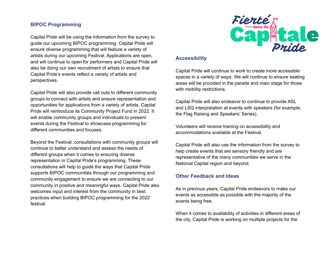### **BIPOC Programming**

Capital Pride will be using the information from the survey to guide our upcoming BIPOC programming. Capital Pride will ensure diverse programming that will feature a variety of artists during our upcoming Festival. Applications are open, and will continue to open for performers and Capital Pride will also be doing our own recruitment of artists to ensure that Capital Pride's events reflect a variety of artists and perspectives.

Capital Pride will also provide call outs to different community groups to connect with artists and ensure representation and opportunities for applications from a variety of artists. Capital Pride will reintroduce its Community Project Fund in 2022. It will enable community groups and individuals to present events during the Festival to showcase programming for different communities and focuses.

Beyond the Festival, consultations with community groups will continue to better understand and assess the needs of different groups when it comes to ensuring diverse representation in Capital Pride's programming. These consultations will help to guide the ways that Capital Pride supports BIPOC communities through our programming and community engagement to ensure we are connecting to our community in positive and meaningful ways. Capital Pride also welcomes input and interest from the community in best practices when building BIPOC programming for the 2022 festival.



### **Accessibility**

Capital Pride will continue to work to create more accessible spaces in a variety of ways. We will continue to ensure seating areas will be provided in the parade and main stage for those with mobility restrictions.

Capital Pride will also endeavor to continue to provide ASL and LSQ interpretation at events with speakers (for example, the Flag Raising and Speakers' Series).

Volunteers will receive training on accessibility and accommodations available at the Festival.

Capital Pride will also use the information from the survey to help create events that are sensory friendly and are representative of the many communities we serve in the National Capital region and beyond.

### **Other Feedback and Ideas**

As in previous years, Capital Pride endeavors to make our events as accessible as possible with the majority of the events being free.

When it comes to availability of activities in different areas of the city, Capital Pride is working on multiple projects for the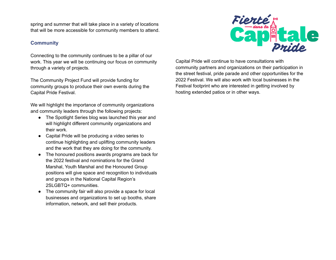spring and summer that will take place in a variety of locations that will be more accessible for community members to attend.

### **Community**

Connecting to the community continues to be a pillar of our work. This year we will be continuing our focus on community through a variety of projects.

The Community Project Fund will provide funding for community groups to produce their own events during the Capital Pride Festival.

We will highlight the importance of community organizations and community leaders through the following projects:

- The Spotlight Series blog was launched this year and will highlight different community organizations and their work.
- Capital Pride will be producing a video series to continue highlighting and uplifting community leaders and the work that they are doing for the community.
- The honoured positions awards programs are back for the 2022 festival and nominations for the Grand Marshal, Youth Marshal and the Honoured Group positions will give space and recognition to individuals and groups in the National Capital Region's 2SLGBTQ+ communities.
- The community fair will also provide a space for local businesses and organizations to set up booths, share information, network, and sell their products.



Capital Pride will continue to have consultations with community partners and organizations on their participation in the street festival, pride parade and other opportunities for the 2022 Festival. We will also work with local businesses in the Festival footprint who are interested in getting involved by hosting extended patios or in other ways.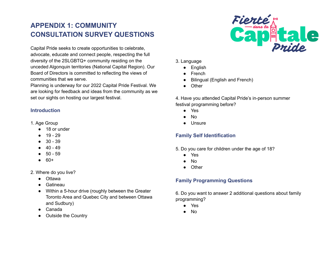# **APPENDIX 1: COMMUNITY CONSULTATION SURVEY QUESTIONS**

Capital Pride seeks to create opportunities to celebrate, advocate, educate and connect people, respecting the full diversity of the 2SLGBTQ+ community residing on the unceded Algonquin territories (National Capital Region). Our Board of Directors is committed to reflecting the views of communities that we serve.

Planning is underway for our 2022 Capital Pride Festival. We are looking for feedback and ideas from the community as we set our sights on hosting our largest festival.

### **Introduction**

- 1. Age Group
	- 18 or under
	- 19 29
	- 30 39
	- 40 49
	- 50 59
	- 60+
- 2. Where do you live?
	- Ottawa
	- Gatineau
	- Within a 5-hour drive (roughly between the Greater Toronto Area and Quebec City and between Ottawa and Sudbury)
	- Canada
	- **Outside the Country**



- 3. Language
	- English
	- **French**
	- **Bilingual (English and French)**
	- Other

4. Have you attended Capital Pride's in-person summer festival programming before?

- Yes
- No
- Unsure

### **Family Self Identification**

- 5. Do you care for children under the age of 18?
	- Yes
	- $No$
	- **Other**

### **Family Programming Questions**

6. Do you want to answer 2 additional questions about family programming?

- Yes
- No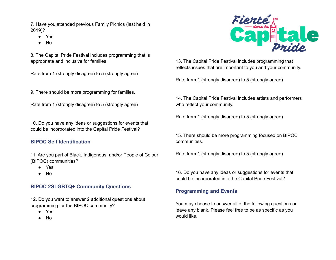7. Have you attended previous Family Picnics (last held in 2019)?

- Yes
- $No$

8. The Capital Pride Festival includes programming that is appropriate and inclusive for families.

Rate from 1 (strongly disagree) to 5 (strongly agree)

9. There should be more programming for families.

Rate from 1 (strongly disagree) to 5 (strongly agree)

10. Do you have any ideas or suggestions for events that could be incorporated into the Capital Pride Festival?

### **BIPOC Self Identification**

11. Are you part of Black, Indigenous, and/or People of Colour (BIPOC) communities?

- Yes
- No

### **BIPOC 2SLGBTQ+ Community Questions**

12. Do you want to answer 2 additional questions about programming for the BIPOC community?

- Yes
- No



13. The Capital Pride Festival includes programming that reflects issues that are important to you and your community.

Rate from 1 (strongly disagree) to 5 (strongly agree)

14. The Capital Pride Festival includes artists and performers who reflect your community.

Rate from 1 (strongly disagree) to 5 (strongly agree)

15. There should be more programming focused on BIPOC communities.

Rate from 1 (strongly disagree) to 5 (strongly agree)

16. Do you have any ideas or suggestions for events that could be incorporated into the Capital Pride Festival?

### **Programming and Events**

You may choose to answer all of the following questions or leave any blank. Please feel free to be as specific as you would like.